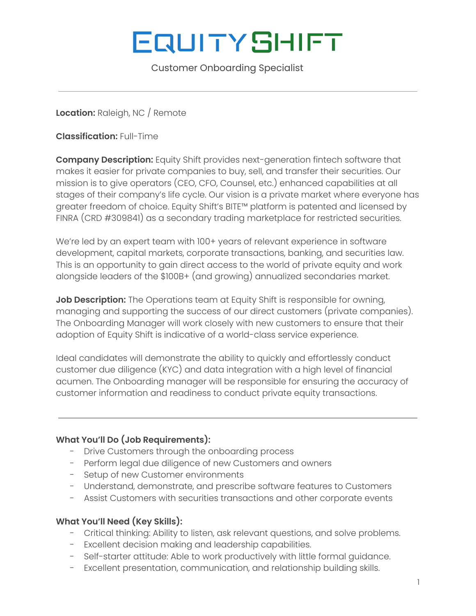# **EQUITYSHIFT**

Customer Onboarding Specialist

**Location:** Raleigh, NC / Remote

**Classification:** Full-Time

**Company Description:** Equity Shift provides next-generation fintech software that makes it easier for private companies to buy, sell, and transfer their securities. Our mission is to give operators (CEO, CFO, Counsel, etc.) enhanced capabilities at all stages of their company's life cycle. Our vision is a private market where everyone has greater freedom of choice. Equity Shift's BITE™ platform is patented and licensed by FINRA (CRD #309841) as a secondary trading marketplace for restricted securities.

We're led by an expert team with 100+ years of relevant experience in software development, capital markets, corporate transactions, banking, and securities law. This is an opportunity to gain direct access to the world of private equity and work alongside leaders of the \$100B+ (and growing) annualized secondaries market.

**Job Description:** The Operations team at Equity Shift is responsible for owning, managing and supporting the success of our direct customers (private companies). The Onboarding Manager will work closely with new customers to ensure that their adoption of Equity Shift is indicative of a world-class service experience.

Ideal candidates will demonstrate the ability to quickly and effortlessly conduct customer due diligence (KYC) and data integration with a high level of financial acumen. The Onboarding manager will be responsible for ensuring the accuracy of customer information and readiness to conduct private equity transactions.

## **What You'll Do (Job Requirements):**

- Drive Customers through the onboarding process
- Perform legal due diligence of new Customers and owners
- Setup of new Customer environments
- Understand, demonstrate, and prescribe software features to Customers
- Assist Customers with securities transactions and other corporate events

## **What You'll Need (Key Skills):**

- Critical thinking: Ability to listen, ask relevant questions, and solve problems.
- Excellent decision making and leadership capabilities.
- Self-starter attitude: Able to work productively with little formal guidance.
- Excellent presentation, communication, and relationship building skills.